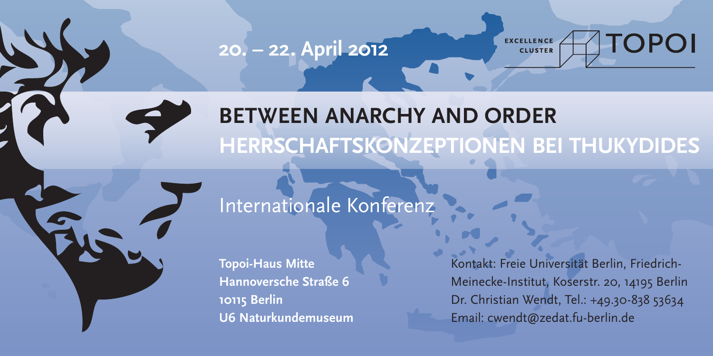**20. – 22. April 2012**

**CLUSTER** 

# **TOPOI EXCELLENCE**

**Between anarchy and order Herrschaftskonzeptionen bei Thukydides**

# Internationale Konferenz

**Topoi-Haus Mitte Hannoversche Straße 6 10115 Berlin U6 Naturkundemuseum** Kontakt: Freie Universität Berlin, Friedrich-Meinecke-Institut, Koserstr. 20, 14195 Berlin Dr. Christian Wendt, Tel.: +49.30-838 53634 Email: cwendt@zedat.fu-berlin.de